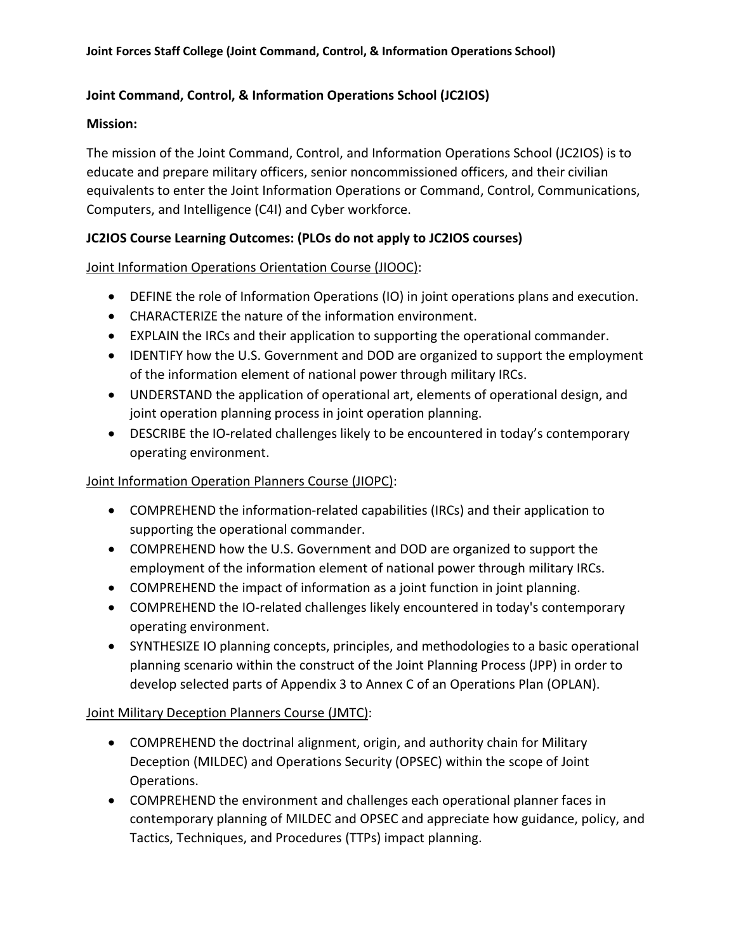## **Joint Command, Control, & Information Operations School (JC2IOS)**

#### **Mission:**

The mission of the Joint Command, Control, and Information Operations School (JC2IOS) is to educate and prepare military officers, senior noncommissioned officers, and their civilian equivalents to enter the Joint Information Operations or Command, Control, Communications, Computers, and Intelligence (C4I) and Cyber workforce.

## **JC2IOS Course Learning Outcomes: (PLOs do not apply to JC2IOS courses)**

## Joint Information Operations Orientation Course (JIOOC):

- DEFINE the role of Information Operations (IO) in joint operations plans and execution.
- CHARACTERIZE the nature of the information environment.
- EXPLAIN the IRCs and their application to supporting the operational commander.
- IDENTIFY how the U.S. Government and DOD are organized to support the employment of the information element of national power through military IRCs.
- UNDERSTAND the application of operational art, elements of operational design, and joint operation planning process in joint operation planning.
- DESCRIBE the IO-related challenges likely to be encountered in today's contemporary operating environment.

### Joint Information Operation Planners Course (JIOPC):

- COMPREHEND the information-related capabilities (IRCs) and their application to supporting the operational commander.
- COMPREHEND how the U.S. Government and DOD are organized to support the employment of the information element of national power through military IRCs.
- COMPREHEND the impact of information as a joint function in joint planning.
- COMPREHEND the IO-related challenges likely encountered in today's contemporary operating environment.
- SYNTHESIZE IO planning concepts, principles, and methodologies to a basic operational planning scenario within the construct of the Joint Planning Process (JPP) in order to develop selected parts of Appendix 3 to Annex C of an Operations Plan (OPLAN).

#### Joint Military Deception Planners Course (JMTC):

- COMPREHEND the doctrinal alignment, origin, and authority chain for Military Deception (MILDEC) and Operations Security (OPSEC) within the scope of Joint Operations.
- COMPREHEND the environment and challenges each operational planner faces in contemporary planning of MILDEC and OPSEC and appreciate how guidance, policy, and Tactics, Techniques, and Procedures (TTPs) impact planning.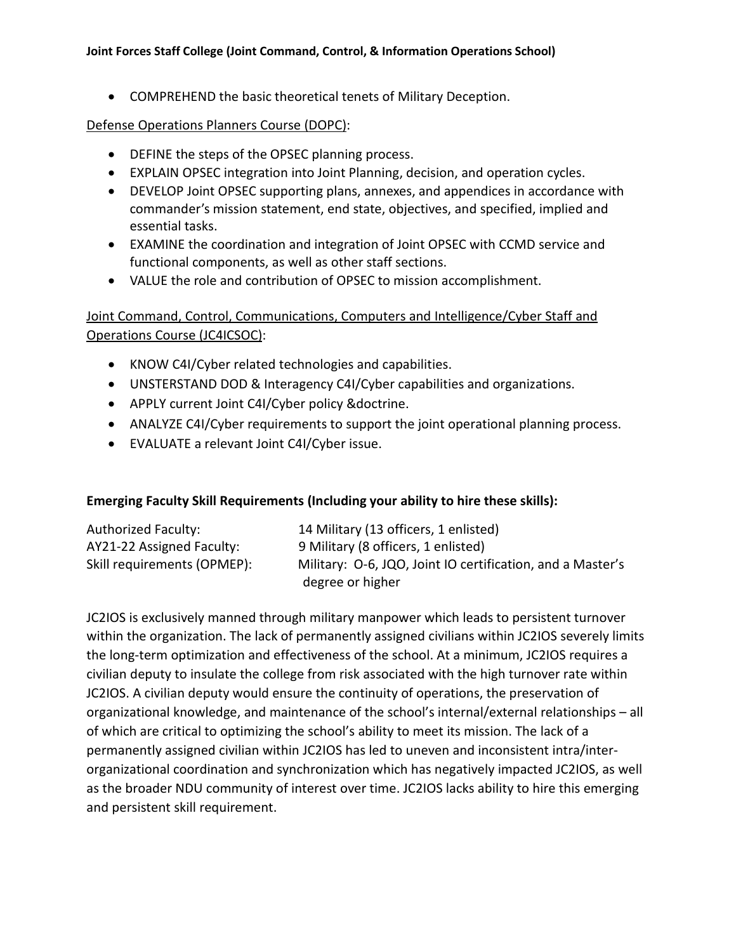#### **Joint Forces Staff College (Joint Command, Control, & Information Operations School)**

• COMPREHEND the basic theoretical tenets of Military Deception.

#### Defense Operations Planners Course (DOPC):

- DEFINE the steps of the OPSEC planning process.
- EXPLAIN OPSEC integration into Joint Planning, decision, and operation cycles.
- DEVELOP Joint OPSEC supporting plans, annexes, and appendices in accordance with commander's mission statement, end state, objectives, and specified, implied and essential tasks.
- EXAMINE the coordination and integration of Joint OPSEC with CCMD service and functional components, as well as other staff sections.
- VALUE the role and contribution of OPSEC to mission accomplishment.

# Joint Command, Control, Communications, Computers and Intelligence/Cyber Staff and Operations Course (JC4ICSOC):

- KNOW C4I/Cyber related technologies and capabilities.
- UNSTERSTAND DOD & Interagency C4I/Cyber capabilities and organizations.
- APPLY current Joint C4I/Cyber policy &doctrine.
- ANALYZE C4I/Cyber requirements to support the joint operational planning process.
- EVALUATE a relevant Joint C4I/Cyber issue.

## **Emerging Faculty Skill Requirements (Including your ability to hire these skills):**

| <b>Authorized Faculty:</b>  | 14 Military (13 officers, 1 enlisted)                      |
|-----------------------------|------------------------------------------------------------|
| AY21-22 Assigned Faculty:   | 9 Military (8 officers, 1 enlisted)                        |
| Skill requirements (OPMEP): | Military: O-6, JQO, Joint IO certification, and a Master's |
|                             | degree or higher                                           |

JC2IOS is exclusively manned through military manpower which leads to persistent turnover within the organization. The lack of permanently assigned civilians within JC2IOS severely limits the long-term optimization and effectiveness of the school. At a minimum, JC2IOS requires a civilian deputy to insulate the college from risk associated with the high turnover rate within JC2IOS. A civilian deputy would ensure the continuity of operations, the preservation of organizational knowledge, and maintenance of the school's internal/external relationships – all of which are critical to optimizing the school's ability to meet its mission. The lack of a permanently assigned civilian within JC2IOS has led to uneven and inconsistent intra/interorganizational coordination and synchronization which has negatively impacted JC2IOS, as well as the broader NDU community of interest over time. JC2IOS lacks ability to hire this emerging and persistent skill requirement.